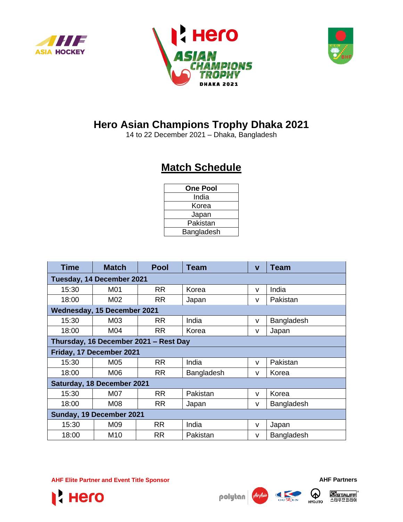





## **Hero Asian Champions Trophy Dhaka 2021**

14 to 22 December 2021 – Dhaka, Bangladesh

## **Match Schedule**

| <b>One Pool</b> |  |
|-----------------|--|
| India           |  |
| Korea           |  |
| Japan           |  |
| Pakistan        |  |
| Bangladesh      |  |

| <b>Time</b>                           | <b>Match</b>    | <b>Pool</b> | <b>Team</b> | $\mathbf{V}$ | <b>Team</b> |  |  |  |  |
|---------------------------------------|-----------------|-------------|-------------|--------------|-------------|--|--|--|--|
| Tuesday, 14 December 2021             |                 |             |             |              |             |  |  |  |  |
| 15:30                                 | M01             | <b>RR</b>   | Korea       | v            | India       |  |  |  |  |
| 18:00                                 | M02             | <b>RR</b>   | Japan       | v            | Pakistan    |  |  |  |  |
| <b>Wednesday, 15 December 2021</b>    |                 |             |             |              |             |  |  |  |  |
| 15:30                                 | M03             | <b>RR</b>   | India       | v            | Bangladesh  |  |  |  |  |
| 18:00                                 | M04             | <b>RR</b>   | Korea       | v            | Japan       |  |  |  |  |
| Thursday, 16 December 2021 - Rest Day |                 |             |             |              |             |  |  |  |  |
| Friday, 17 December 2021              |                 |             |             |              |             |  |  |  |  |
| 15:30                                 | M05             | <b>RR</b>   | India       | v            | Pakistan    |  |  |  |  |
| 18:00                                 | M06             | <b>RR</b>   | Bangladesh  | $\mathsf{V}$ | Korea       |  |  |  |  |
| Saturday, 18 December 2021            |                 |             |             |              |             |  |  |  |  |
| 15:30                                 | M07             | <b>RR</b>   | Pakistan    | v            | Korea       |  |  |  |  |
| 18:00                                 | M08             | <b>RR</b>   | Japan       | v            | Bangladesh  |  |  |  |  |
| Sunday, 19 December 2021              |                 |             |             |              |             |  |  |  |  |
| 15:30                                 | M09             | <b>RR</b>   | India       | v            | Japan       |  |  |  |  |
| 18:00                                 | M <sub>10</sub> | <b>RR</b>   | Pakistan    | v            | Bangladesh  |  |  |  |  |

**AHF Elite Partner and Event Title Sponsor AHF Partners**







W